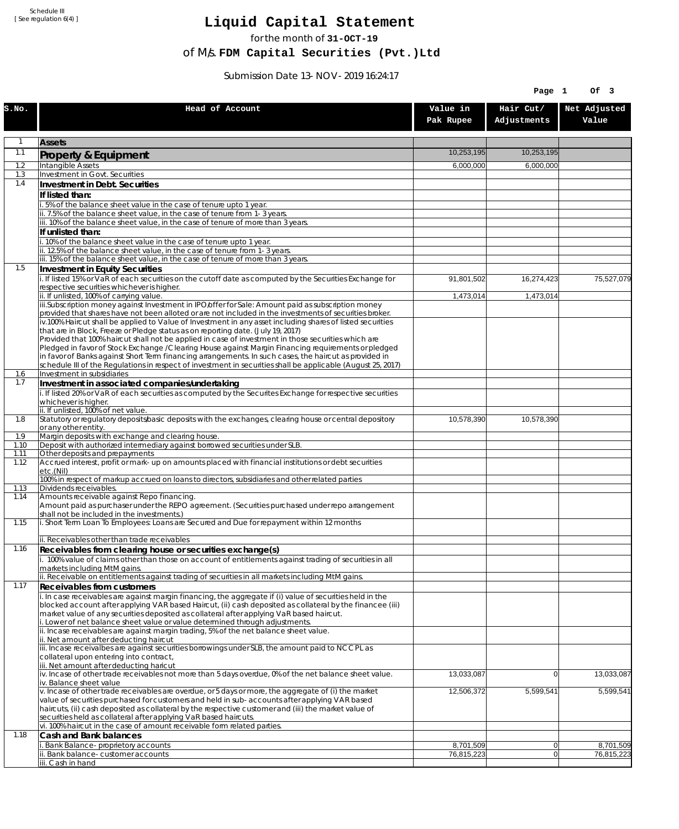Schedule III [ See regulation 6(4) ]

## **Liquid Capital Statement**

for the month of **31-OCT-19**

of M/s. **FDM Capital Securities (Pvt.)Ltd**

Submission Date 13-NOV-2019 16:24:17

|             |                                                                                                                                                                                                                                                                                                                                                                                   |                       | Page 1                   | Of 3                  |
|-------------|-----------------------------------------------------------------------------------------------------------------------------------------------------------------------------------------------------------------------------------------------------------------------------------------------------------------------------------------------------------------------------------|-----------------------|--------------------------|-----------------------|
| S.NO.       | Head of Account                                                                                                                                                                                                                                                                                                                                                                   | Value in<br>Pak Rupee | Hair Cut/<br>Adjustments | Net Adjusted<br>Value |
| 1           | <b>Assets</b>                                                                                                                                                                                                                                                                                                                                                                     |                       |                          |                       |
| 1.1         | Property & Equipment                                                                                                                                                                                                                                                                                                                                                              | 10,253,195            | 10,253,195               |                       |
| 1.2         | Intangible Assets                                                                                                                                                                                                                                                                                                                                                                 | 6,000,000             | 6,000,000                |                       |
| 1.3<br>1.4  | Investment in Govt. Securities<br>Investment in Debt. Securities                                                                                                                                                                                                                                                                                                                  |                       |                          |                       |
|             | If listed than:                                                                                                                                                                                                                                                                                                                                                                   |                       |                          |                       |
|             | 5% of the balance sheet value in the case of tenure upto 1 year.                                                                                                                                                                                                                                                                                                                  |                       |                          |                       |
|             | ii. 7.5% of the balance sheet value, in the case of tenure from 1-3 years.<br>iii. 10% of the balance sheet value, in the case of tenure of more than 3 years.                                                                                                                                                                                                                    |                       |                          |                       |
|             | If unlisted than:                                                                                                                                                                                                                                                                                                                                                                 |                       |                          |                       |
|             | . 10% of the balance sheet value in the case of tenure upto 1 year.                                                                                                                                                                                                                                                                                                               |                       |                          |                       |
|             | ii. 12.5% of the balance sheet value, in the case of tenure from 1-3 years.<br>iii. 15% of the balance sheet value, in the case of tenure of more than 3 years.                                                                                                                                                                                                                   |                       |                          |                       |
| 1.5         | Investment in Equity Securities                                                                                                                                                                                                                                                                                                                                                   |                       |                          |                       |
|             | i. If listed 15% or VaR of each securities on the cutoff date as computed by the Securities Exchange for                                                                                                                                                                                                                                                                          | 91,801,502            | 16,274,423               | 75,527,079            |
|             | respective securities whichever is higher.<br>ii. If unlisted, 100% of carrying value.                                                                                                                                                                                                                                                                                            | 1,473,014             | 1,473,014                |                       |
|             | iii.Subscription money against Investment in IPO/offer for Sale: Amount paid as subscription money<br>provided that shares have not been alloted or are not included in the investments of securities broker.<br>iv.100% Haircut shall be applied to Value of Investment in any asset including shares of listed securities                                                       |                       |                          |                       |
|             | that are in Block, Freeze or Pledge status as on reporting date. (July 19, 2017)<br>Provided that 100% haircut shall not be applied in case of investment in those securities which are                                                                                                                                                                                           |                       |                          |                       |
|             | Pledged in favor of Stock Exchange / Clearing House against Margin Financing requirements or pledged<br>in favor of Banks against Short Term financing arrangements. In such cases, the haircut as provided in<br>schedule III of the Regulations in respect of investment in securities shall be applicable (August 25, 2017)                                                    |                       |                          |                       |
| 1.6<br>1.7  | Investment in subsidiaries                                                                                                                                                                                                                                                                                                                                                        |                       |                          |                       |
|             | Investment in associated companies/undertaking<br>i. If listed 20% or VaR of each securities as computed by the Securites Exchange for respective securities                                                                                                                                                                                                                      |                       |                          |                       |
|             | whichever is higher.                                                                                                                                                                                                                                                                                                                                                              |                       |                          |                       |
| 1.8         | ii. If unlisted, 100% of net value.<br>Statutory or regulatory deposits/basic deposits with the exchanges, clearing house or central depository                                                                                                                                                                                                                                   | 10,578,390            | 10,578,390               |                       |
|             | or any other entity.                                                                                                                                                                                                                                                                                                                                                              |                       |                          |                       |
| 1.9<br>1.10 | Margin deposits with exchange and clearing house.<br>Deposit with authorized intermediary against borrowed securities under SLB.                                                                                                                                                                                                                                                  |                       |                          |                       |
| 1.11        | Other deposits and prepayments                                                                                                                                                                                                                                                                                                                                                    |                       |                          |                       |
| 1.12        | Accrued interest, profit or mark-up on amounts placed with financial institutions or debt securities<br>etc.(Nil)<br>100% in respect of markup accrued on loans to directors, subsidiaries and other related parties                                                                                                                                                              |                       |                          |                       |
| 1.13        | Dividends receivables.                                                                                                                                                                                                                                                                                                                                                            |                       |                          |                       |
| 1.14        | Amounts receivable against Repo financing.<br>Amount paid as purchaser under the REPO agreement. (Securities purchased under repo arrangement<br>shall not be included in the investments.)                                                                                                                                                                                       |                       |                          |                       |
| 1.15        | i. Short Term Loan To Employees: Loans are Secured and Due for repayment within 12 months<br>ii. Receivables other than trade receivables                                                                                                                                                                                                                                         |                       |                          |                       |
| 1.16        | Receivables from clearing house or securities exchange(s)                                                                                                                                                                                                                                                                                                                         |                       |                          |                       |
|             | i. 100% value of claims other than those on account of entitlements against trading of securities in all<br>markets including MtM gains.                                                                                                                                                                                                                                          |                       |                          |                       |
| 1.17        | ii. Receivable on entitlements against trading of securities in all markets including MtM gains.<br>Receivables from customers                                                                                                                                                                                                                                                    |                       |                          |                       |
|             | i. In case receivables are against margin financing, the aggregate if (i) value of securities held in the<br>blocked account after applying VAR based Haircut, (ii) cash deposited as collateral by the financee (iii)<br>market value of any securities deposited as collateral after applying VaR based haircut.                                                                |                       |                          |                       |
|             | i. Lower of net balance sheet value or value determined through adjustments.<br>ii. Incase receivables are against margin trading, 5% of the net balance sheet value.<br>ii. Net amount after deducting haircut                                                                                                                                                                   |                       |                          |                       |
|             | iii. Incase receivalbes are against securities borrowings under SLB, the amount paid to NCCPL as<br>collateral upon entering into contract,<br>iii. Net amount after deducting haricut                                                                                                                                                                                            |                       |                          |                       |
|             | iv. Incase of other trade receivables not more than 5 days overdue, 0% of the net balance sheet value.<br>iv. Balance sheet value                                                                                                                                                                                                                                                 | 13,033,087            | $\overline{0}$           | 13,033,087            |
|             | v. Incase of other trade receivables are overdue, or 5 days or more, the aggregate of (i) the market<br>value of securities purchased for customers and held in sub-accounts after applying VAR based<br>haircuts, (ii) cash deposited as collateral by the respective customer and (iii) the market value of<br>securities held as collateral after applying VaR based haircuts. | 12,506,372            | 5,599,541                | 5,599,541             |
|             | vi. 100% haircut in the case of amount receivable form related parties.                                                                                                                                                                                                                                                                                                           |                       |                          |                       |
| 1.18        | Cash and Bank balances<br>i. Bank Balance-proprietory accounts                                                                                                                                                                                                                                                                                                                    | 8,701,509             | 0                        | 8,701,509             |
|             | Bank balance-customer accounts                                                                                                                                                                                                                                                                                                                                                    | 76,815,223            | $\overline{0}$           | 76,815,223            |
|             | iii. Cash in hand                                                                                                                                                                                                                                                                                                                                                                 |                       |                          |                       |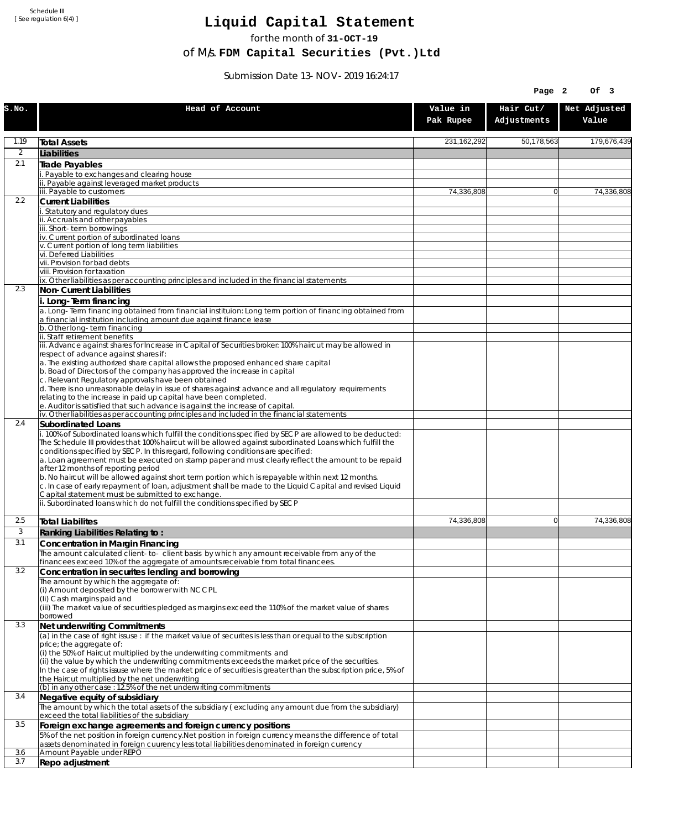Schedule III [ See regulation 6(4) ]

## **Liquid Capital Statement**

for the month of **31-OCT-19**

of M/s. **FDM Capital Securities (Pvt.)Ltd**

Submission Date 13-NOV-2019 16:24:17

|                |                                                                                                                                                                                                                     |                       | Page 2                   | Of 3                  |
|----------------|---------------------------------------------------------------------------------------------------------------------------------------------------------------------------------------------------------------------|-----------------------|--------------------------|-----------------------|
| S.NO.          | Head of Account                                                                                                                                                                                                     | Value in<br>Pak Rupee | Hair Cut/<br>Adjustments | Net Adjusted<br>Value |
| 1.19           | <b>Total Assets</b>                                                                                                                                                                                                 | 231, 162, 292         | 50,178,563               | 179,676,439           |
| $\overline{2}$ | Liabilities                                                                                                                                                                                                         |                       |                          |                       |
| 2.1            | Trade Payables                                                                                                                                                                                                      |                       |                          |                       |
|                | Payable to exchanges and clearing house<br>Payable against leveraged market products                                                                                                                                |                       |                          |                       |
|                | iii. Payable to customers                                                                                                                                                                                           | 74,336,808            | $\Omega$                 | 74.336.808            |
| 2.2            | <b>Current Liabilities</b>                                                                                                                                                                                          |                       |                          |                       |
|                | Statutory and regulatory dues<br>ii. Accruals and other payables                                                                                                                                                    |                       |                          |                       |
|                | iii. Short-term borrowinas                                                                                                                                                                                          |                       |                          |                       |
|                | iv. Current portion of subordinated loans                                                                                                                                                                           |                       |                          |                       |
|                | v. Current portion of long term liabilities<br>vi. Deferred Liabilities                                                                                                                                             |                       |                          |                       |
|                | vii. Provision for bad debts                                                                                                                                                                                        |                       |                          |                       |
|                | viii. Provision for taxation<br>ix. Other liabilities as per accounting principles and included in the financial statements                                                                                         |                       |                          |                       |
| 2.3            | Non-Current Liabilities                                                                                                                                                                                             |                       |                          |                       |
|                | i. Long-Term financing                                                                                                                                                                                              |                       |                          |                       |
|                | a. Long-Term financing obtained from financial instituion: Long term portion of financing obtained from<br>a financial institution including amount due against finance lease                                       |                       |                          |                       |
|                | b. Other long-term financing<br>ii. Staff retirement benefits                                                                                                                                                       |                       |                          |                       |
|                | iii. Advance against shares for Increase in Capital of Securities broker: 100% haircut may be allowed in                                                                                                            |                       |                          |                       |
|                | respect of advance against shares if:                                                                                                                                                                               |                       |                          |                       |
|                | a. The existing authorized share capital allows the proposed enhanced share capital<br>b. Boad of Directors of the company has approved the increase in capital                                                     |                       |                          |                       |
|                | c. Relevant Regulatory approvals have been obtained                                                                                                                                                                 |                       |                          |                       |
|                | d. There is no unreasonable delay in issue of shares against advance and all regulatory requirements<br>relating to the increase in paid up capital have been completed.                                            |                       |                          |                       |
|                | e. Auditor is satisfied that such advance is against the increase of capital.                                                                                                                                       |                       |                          |                       |
| 2.4            | iv. Other liabilities as per accounting principles and included in the financial statements                                                                                                                         |                       |                          |                       |
|                | Subordinated Loans<br>. 100% of Subordinated loans which fulfill the conditions specified by SECP are allowed to be deducted:                                                                                       |                       |                          |                       |
|                | The Schedule III provides that 100% haircut will be allowed against subordinated Loans which fulfill the                                                                                                            |                       |                          |                       |
|                | conditions specified by SECP. In this regard, following conditions are specified:<br>a. Loan agreement must be executed on stamp paper and must clearly reflect the amount to be repaid                             |                       |                          |                       |
|                | after 12 months of reporting period                                                                                                                                                                                 |                       |                          |                       |
|                | b. No haircut will be allowed against short term portion which is repayable within next 12 months.<br>c. In case of early repayment of loan, adjustment shall be made to the Liquid Capital and revised Liquid      |                       |                          |                       |
|                | Capital statement must be submitted to exchange.<br>ii. Subordinated loans which do not fulfill the conditions specified by SECP                                                                                    |                       |                          |                       |
| 2.5            | <b>Total Liabilites</b>                                                                                                                                                                                             | 74,336,808            | $\Omega$                 | 74.336.808            |
| 3              | Ranking Liabilities Relating to:                                                                                                                                                                                    |                       |                          |                       |
| 3.1            | Concentration in Margin Financing                                                                                                                                                                                   |                       |                          |                       |
|                | The amount calculated client-to- client basis by which any amount receivable from any of the                                                                                                                        |                       |                          |                       |
| 3.2            | financees exceed 10% of the aggregate of amounts receivable from total financees.<br>Concentration in securites lending and borrowing                                                                               |                       |                          |                       |
|                | The amount by which the aggregate of:                                                                                                                                                                               |                       |                          |                       |
|                | (i) Amount deposited by the borrower with NCCPL                                                                                                                                                                     |                       |                          |                       |
|                | (Ii) Cash margins paid and<br>(iii) The market value of securities pledged as margins exceed the 110% of the market value of shares                                                                                 |                       |                          |                       |
|                | borrowed                                                                                                                                                                                                            |                       |                          |                       |
| 3.3            | Net underwriting Commitments                                                                                                                                                                                        |                       |                          |                       |
|                | (a) in the case of right issuse : if the market value of securites is less than or equal to the subscription<br>price; the aggregate of:                                                                            |                       |                          |                       |
|                | (i) the 50% of Haircut multiplied by the underwriting commitments and                                                                                                                                               |                       |                          |                       |
|                | (ii) the value by which the underwriting commitments exceeds the market price of the securities.<br>In the case of rights issuse where the market price of securities is greater than the subscription price, 5% of |                       |                          |                       |
|                | the Haircut multiplied by the net underwriting                                                                                                                                                                      |                       |                          |                       |
|                | (b) in any other case: 12.5% of the net underwriting commitments                                                                                                                                                    |                       |                          |                       |
| 3.4            | Negative equity of subsidiary<br>The amount by which the total assets of the subsidiary (excluding any amount due from the subsidiary)                                                                              |                       |                          |                       |
|                | exceed the total liabilities of the subsidiary                                                                                                                                                                      |                       |                          |                       |
| 3.5            | Foreign exchange agreements and foreign currency positions                                                                                                                                                          |                       |                          |                       |
|                | 5% of the net position in foreign currency. Net position in foreign currency means the difference of total<br>assets denominated in foreign cuurency less total liabilities denominated in foreign currency         |                       |                          |                       |
| 3.6            | Amount Payable under REPO                                                                                                                                                                                           |                       |                          |                       |
| 3.7            | Repo adjustment                                                                                                                                                                                                     |                       |                          |                       |